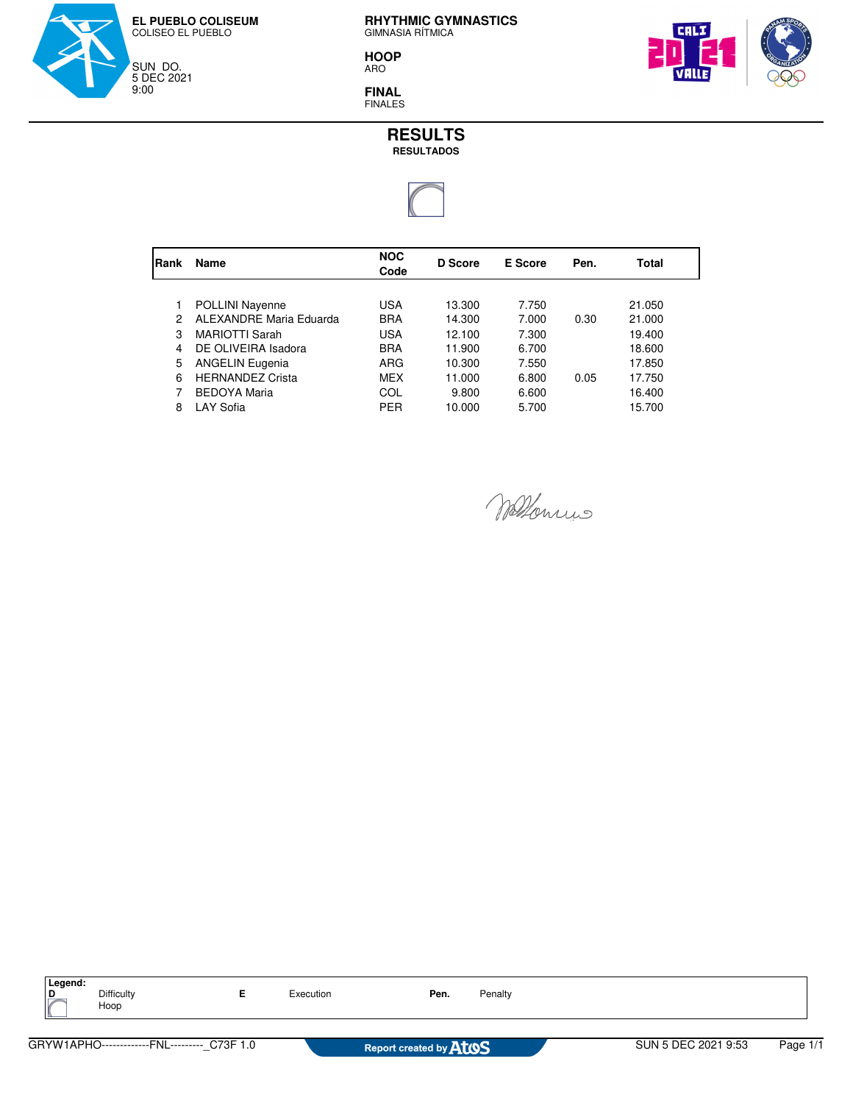

**HOOP** ARO



**FINAL** FINALES



| Rank | Name                    | <b>NOC</b><br>Code | D Score | E Score | Pen. | Total  |
|------|-------------------------|--------------------|---------|---------|------|--------|
|      |                         |                    |         |         |      |        |
|      | <b>POLLINI Nayenne</b>  | USA                | 13.300  | 7.750   |      | 21.050 |
| 2    | ALEXANDRE Maria Eduarda | <b>BRA</b>         | 14.300  | 7.000   | 0.30 | 21.000 |
| 3    | <b>MARIOTTI Sarah</b>   | <b>USA</b>         | 12.100  | 7.300   |      | 19.400 |
| 4    | DE OLIVEIRA Isadora     | <b>BRA</b>         | 11.900  | 6.700   |      | 18.600 |
| 5    | <b>ANGELIN Eugenia</b>  | ARG                | 10.300  | 7.550   |      | 17.850 |
| 6    | <b>HERNANDEZ Crista</b> | <b>MEX</b>         | 11.000  | 6.800   | 0.05 | 17.750 |
|      | <b>BEDOYA Maria</b>     | COL                | 9.800   | 6.600   |      | 16.400 |
| 8    | LAY Sofia               | <b>PER</b>         | 10.000  | 5.700   |      | 15.700 |

Wellenius

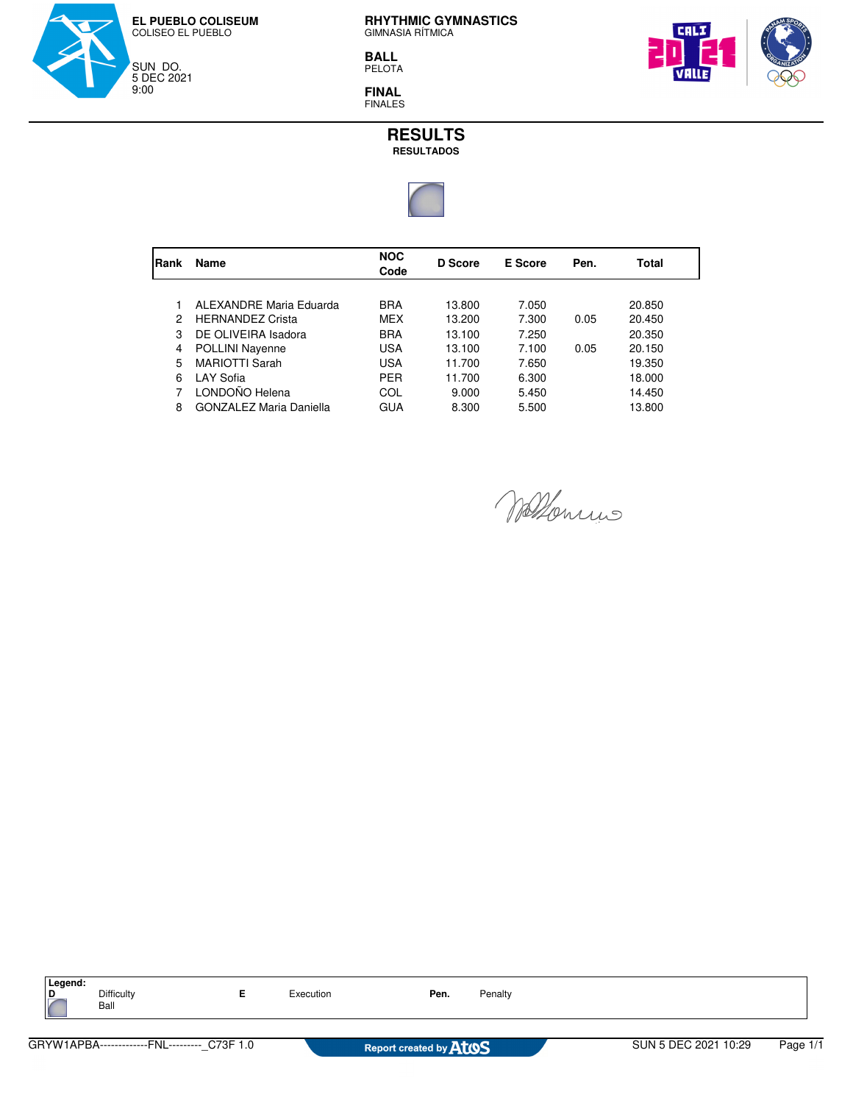

**BALL** PELOTA



**FINAL** FINALES



| <b>IRank</b> | Name                           | <b>NOC</b><br>Code | D Score | E Score | Pen. | Total  |
|--------------|--------------------------------|--------------------|---------|---------|------|--------|
|              |                                |                    |         |         |      |        |
|              | ALEXANDRE Maria Eduarda        | <b>BRA</b>         | 13.800  | 7.050   |      | 20.850 |
| 2            | <b>HERNANDEZ Crista</b>        | MEX                | 13.200  | 7.300   | 0.05 | 20.450 |
| 3            | DE OLIVEIRA Isadora            | <b>BRA</b>         | 13.100  | 7.250   |      | 20.350 |
| 4            | <b>POLLINI Nayenne</b>         | USA                | 13.100  | 7.100   | 0.05 | 20.150 |
| 5            | <b>MARIOTTI Sarah</b>          | USA                | 11.700  | 7.650   |      | 19.350 |
| 6            | LAY Sofia                      | <b>PER</b>         | 11.700  | 6.300   |      | 18.000 |
|              | LONDOÑO Helena                 | COL                | 9.000   | 5.450   |      | 14.450 |
| 8            | <b>GONZALEZ Maria Daniella</b> | GUA                | 8.300   | 5.500   |      | 13.800 |

Wallowin

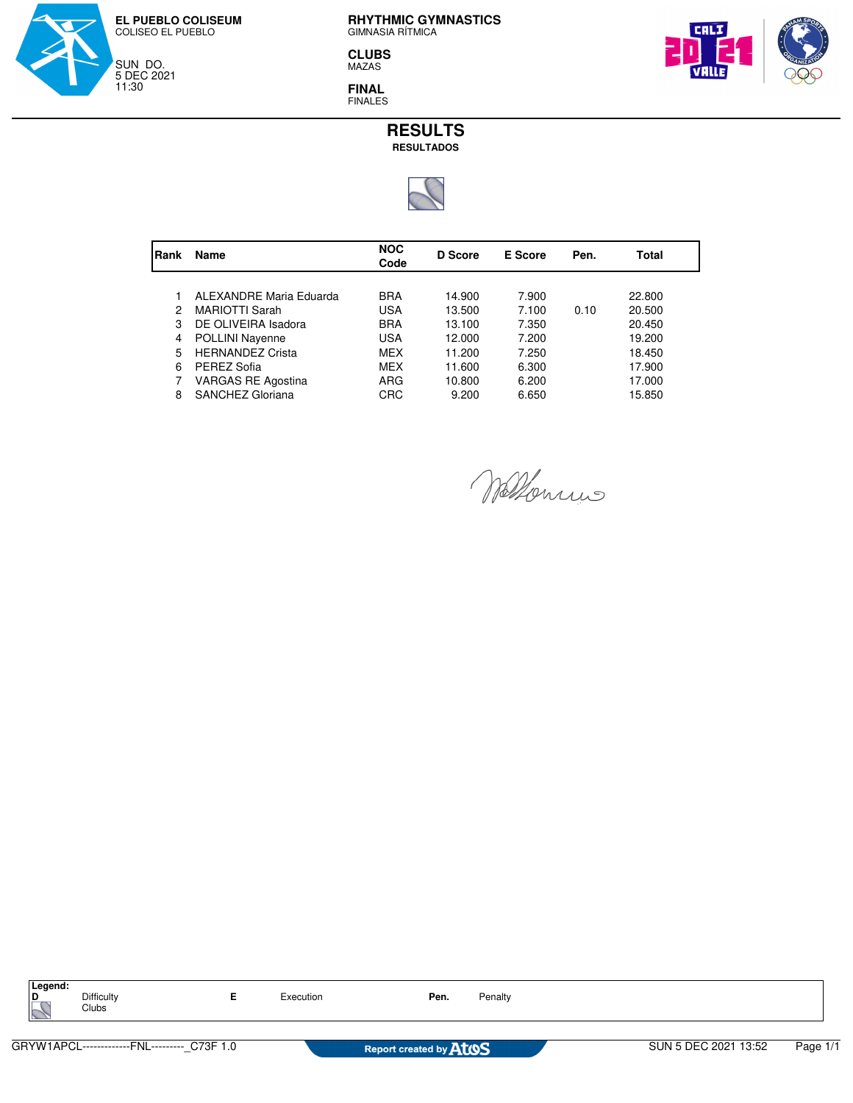

**CLUBS** MAZAS

**FINAL** FINALES





| Name                    | <b>NOC</b><br>Code | <b>D</b> Score | E Score | Pen. | Total  |  |
|-------------------------|--------------------|----------------|---------|------|--------|--|
|                         |                    |                |         |      |        |  |
| ALEXANDRE Maria Eduarda | <b>BRA</b>         | 14.900         | 7.900   |      | 22,800 |  |
| <b>MARIOTTI Sarah</b>   | USA                | 13.500         | 7.100   | 0.10 | 20.500 |  |
| DE OLIVEIRA Isadora     | <b>BRA</b>         | 13.100         | 7.350   |      | 20.450 |  |
| POLLINI Nayenne         | USA                | 12.000         | 7.200   |      | 19.200 |  |
| <b>HERNANDEZ Crista</b> | MEX                | 11.200         | 7.250   |      | 18.450 |  |
| PEREZ Sofia             | <b>MEX</b>         | 11.600         | 6.300   |      | 17.900 |  |
| VARGAS RE Agostina      | ARG                | 10.800         | 6.200   |      | 17.000 |  |
| SANCHEZ Gloriana        | CRC                | 9.200          | 6.650   |      | 15.850 |  |
|                         |                    |                |         |      |        |  |

Wallenrino